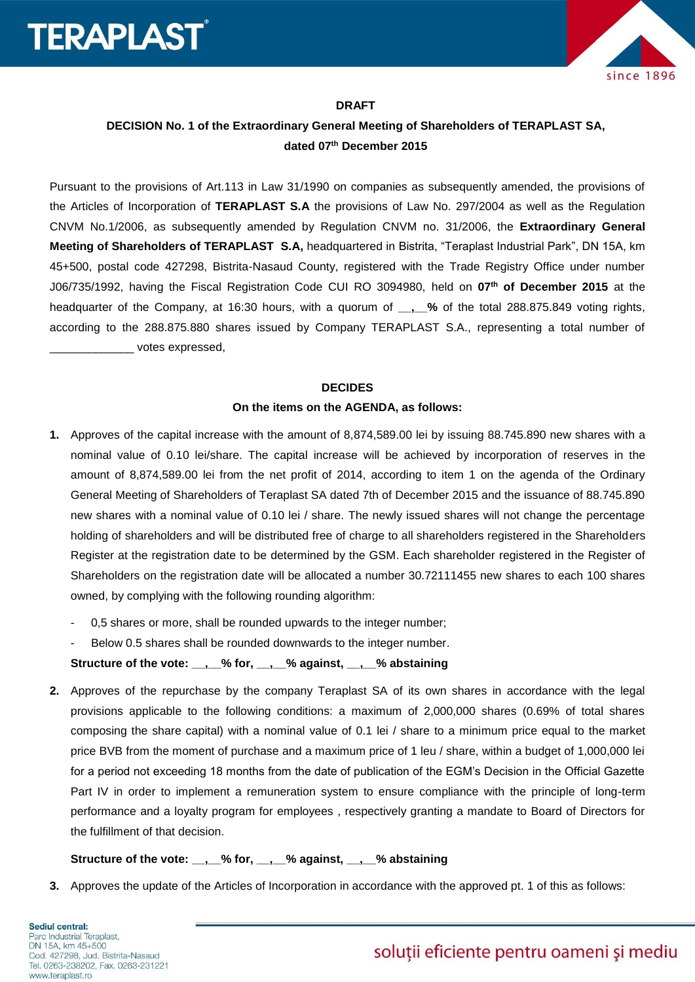



#### **DRAFT**

## **DECISION No. 1 of the Extraordinary General Meeting of Shareholders of TERAPLAST SA, dated 07th December 2015**

Pursuant to the provisions of Art.113 in Law 31/1990 on companies as subsequently amended, the provisions of the Articles of Incorporation of **TERAPLAST S.A** the provisions of Law No. 297/2004 as well as the Regulation CNVM No.1/2006, as subsequently amended by Regulation CNVM no. 31/2006, the **Extraordinary General Meeting of Shareholders of TERAPLAST S.A,** headquartered in Bistrita, "Teraplast Industrial Park", DN 15A, km 45+500, postal code 427298, Bistrita-Nasaud County, registered with the Trade Registry Office under number J06/735/1992, having the Fiscal Registration Code CUI RO 3094980, held on **07th of December 2015** at the headquarter of the Company, at 16:30 hours, with a quorum of **\_\_,\_\_%** of the total 288.875.849 voting rights, according to the 288.875.880 shares issued by Company TERAPLAST S.A., representing a total number of \_\_\_\_\_\_\_\_\_\_\_\_\_ votes expressed,

## **DECIDES**

#### **On the items on the AGENDA, as follows:**

- **1.** Approves of the capital increase with the amount of 8,874,589.00 lei by issuing 88.745.890 new shares with a nominal value of 0.10 lei/share. The capital increase will be achieved by incorporation of reserves in the amount of 8,874,589.00 lei from the net profit of 2014, according to item 1 on the agenda of the Ordinary General Meeting of Shareholders of Teraplast SA dated 7th of December 2015 and the issuance of 88.745.890 new shares with a nominal value of 0.10 lei / share. The newly issued shares will not change the percentage holding of shareholders and will be distributed free of charge to all shareholders registered in the Shareholders Register at the registration date to be determined by the GSM. Each shareholder registered in the Register of Shareholders on the registration date will be allocated a number 30.72111455 new shares to each 100 shares owned, by complying with the following rounding algorithm:
	- 0,5 shares or more, shall be rounded upwards to the integer number;
	- Below 0.5 shares shall be rounded downwards to the integer number.

**Structure of the vote: \_\_,\_\_% for, \_\_,\_\_% against, \_\_,\_\_% abstaining**

**2.** Approves of the repurchase by the company Teraplast SA of its own shares in accordance with the legal provisions applicable to the following conditions: a maximum of 2,000,000 shares (0.69% of total shares composing the share capital) with a nominal value of 0.1 lei / share to a minimum price equal to the market price BVB from the moment of purchase and a maximum price of 1 leu / share, within a budget of 1,000,000 lei for a period not exceeding 18 months from the date of publication of the EGM's Decision in the Official Gazette Part IV in order to implement a remuneration system to ensure compliance with the principle of long-term performance and a loyalty program for employees , respectively granting a mandate to Board of Directors for the fulfillment of that decision.

#### **Structure of the vote: \_\_,\_\_% for, \_\_,\_\_% against, \_\_,\_\_% abstaining**

**3.** Approves the update of the Articles of Incorporation in accordance with the approved pt. 1 of this as follows: